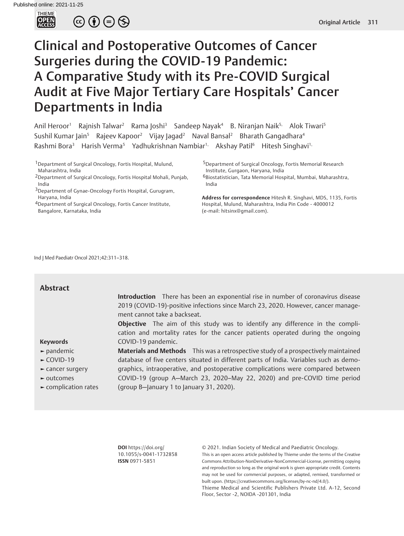

 $\circledcirc \bullet \circledcirc \circledcirc$ 

# Clinical and Postoperative Outcomes of Cancer Surgeries during the COVID-19 Pandemic: A Comparative Study with its Pre-COVID Surgical Audit at Five Major Tertiary Care Hospitals' Cancer Departments in India

Anil Heroor<sup>1</sup> Rajnish Talwar<sup>2</sup> Rama Joshi<sup>3</sup> Sandeep Nayak<sup>4</sup> B. Niranjan Naik<sup>5,</sup> Alok Tiwari<sup>5</sup> Sushil Kumar Jain<sup>5</sup> Rajeev Kapoor<sup>2</sup> Vijay Jagad<sup>2</sup> Naval Bansal<sup>2</sup> Bharath Gangadhara<sup>4</sup> Rashmi Bora<sup>3</sup> Harish Verma<sup>5</sup> Yadhukrishnan Nambiar<sup>1,</sup> Akshay Patil<sup>6</sup> Hitesh Singhavi<sup>1,</sup>

1Department of Surgical Oncology, Fortis Hospital, Mulund, Maharashtra, India

- 2Department of Surgical Oncology, Fortis Hospital Mohali, Punjab, India
- <sup>3</sup>Department of Gynae-Oncology Fortis Hospital, Gurugram, Haryana, India

4Department of Surgical Oncology, Fortis Cancer Institute, Bangalore, Karnataka, India

5Department of Surgical Oncology, Fortis Memorial Research Institute, Gurgaon, Haryana, India 6Biostatistician, Tata Memorial Hospital, Mumbai, Maharashtra, India

**Address for correspondence** Hitesh R. Singhavi, MDS, 1135, Fortis Hospital, Mulund, Maharashtra, India Pin Code - 4000012 (e-mail: hitsinx@gmail.com).

Ind J Med Paediatr Oncol 2021;42:311–318.

| <b>Abstract</b>                                                                                                                                                     | Introduction There has been an exponential rise in number of coronavirus disease<br>2019 (COVID-19)-positive infections since March 23, 2020. However, cancer manage-<br>ment cannot take a backseat.                                                                                                                                                                                   |
|---------------------------------------------------------------------------------------------------------------------------------------------------------------------|-----------------------------------------------------------------------------------------------------------------------------------------------------------------------------------------------------------------------------------------------------------------------------------------------------------------------------------------------------------------------------------------|
| <b>Keywords</b>                                                                                                                                                     | <b>Objective</b> The aim of this study was to identify any difference in the compli-<br>cation and mortality rates for the cancer patients operated during the ongoing<br>COVID-19 pandemic.                                                                                                                                                                                            |
| $\blacktriangleright$ pandemic<br>$-COVID-19$<br>$\blacktriangleright$ cancer surgery<br>$\blacktriangleright$ outcomes<br>$\blacktriangleright$ complication rates | Materials and Methods This was a retrospective study of a prospectively maintained<br>database of five centers situated in different parts of India. Variables such as demo-<br>graphics, intraoperative, and postoperative complications were compared between<br>COVID-19 (group A-March 23, 2020-May 22, 2020) and pre-COVID time period<br>(group B-January 1 to January 31, 2020). |

**DOI** https://doi.org/ 10.1055/s-0041-1732858 **ISSN** 0971-5851

© 2021. Indian Society of Medical and Paediatric Oncology.

This is an open access article published by Thieme under the terms of the Creative Commons Attribution-NonDerivative-NonCommercial-License, permitting copying and reproduction so long as the original work is given appropriate credit. Contents may not be used for commercial purposes, or adapted, remixed, transformed or built upon. (https://creativecommons.org/licenses/by-nc-nd/4.0/).

Thieme Medical and Scientific Publishers Private Ltd. A-12, Second Floor, Sector -2, NOIDA -201301, India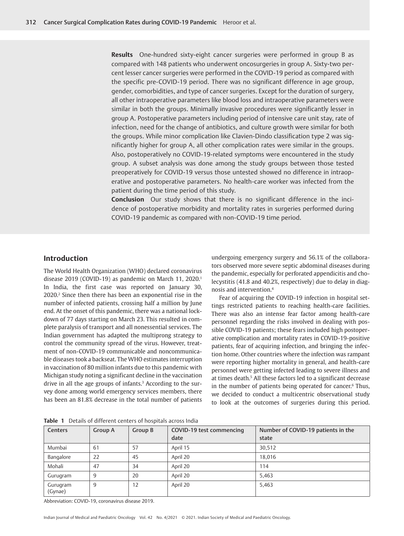**Results** One-hundred sixty-eight cancer surgeries were performed in group B as compared with 148 patients who underwent oncosurgeries in group A. Sixty-two percent lesser cancer surgeries were performed in the COVID-19 period as compared with the specific pre-COVID-19 period. There was no significant difference in age group, gender, comorbidities, and type of cancer surgeries. Except for the duration of surgery, all other intraoperative parameters like blood loss and intraoperative parameters were similar in both the groups. Minimally invasive procedures were significantly lesser in group A. Postoperative parameters including period of intensive care unit stay, rate of infection, need for the change of antibiotics, and culture growth were similar for both the groups. While minor complication like Clavien-Dindo classification type 2 was significantly higher for group A, all other complication rates were similar in the groups. Also, postoperatively no COVID-19-related symptoms were encountered in the study group. A subset analysis was done among the study groups between those tested preoperatively for COVID-19 versus those untested showed no difference in intraoperative and postoperative parameters. No health-care worker was infected from the patient during the time period of this study.

**Conclusion** Our study shows that there is no significant difference in the incidence of postoperative morbidity and mortality rates in surgeries performed during COVID-19 pandemic as compared with non-COVID-19 time period.

# **Introduction**

The World Health Organization (WHO) declared coronavirus disease 2019 (COVID-19) as pandemic on March 11, 2020.<sup>1</sup> In India, the first case was reported on January 30, 2020.2 Since then there has been an exponential rise in the number of infected patients, crossing half a million by June end. At the onset of this pandemic, there was a national lockdown of 77 days starting on March 23. This resulted in complete paralysis of transport and all nonessential services. The Indian government has adapted the multiprong strategy to control the community spread of the virus. However, treatment of non-COVID-19 communicable and noncommunicable diseases took a backseat. The WHO estimates interruption in vaccination of 80 million infants due to this pandemic with Michigan study noting a significant decline in the vaccination drive in all the age groups of infants.<sup>3</sup> According to the survey done among world emergency services members, there has been an 81.8% decrease in the total number of patients undergoing emergency surgery and 56.1% of the collaborators observed more severe septic abdominal diseases during the pandemic, especially for perforated appendicitis and cholecystitis (41.8 and 40.2%, respectively) due to delay in diagnosis and intervention.4

Fear of acquiring the COVID-19 infection in hospital settings restricted patients to reaching health-care facilities. There was also an intense fear factor among health-care personnel regarding the risks involved in dealing with possible COVID-19 patients; these fears included high postoperative complication and mortality rates in COVID-19-positive patients, fear of acquiring infection, and bringing the infection home. Other countries where the infection was rampant were reporting higher mortality in general, and health-care personnel were getting infected leading to severe illness and at times death.5 All these factors led to a significant decrease in the number of patients being operated for cancer.<sup>6</sup> Thus, we decided to conduct a multicentric observational study to look at the outcomes of surgeries during this period.

**Table 1** Details of different centers of hospitals across India

| <b>Centers</b>      | Group A | Group B | COVID-19 test commencing<br>date | Number of COVID-19 patients in the<br>state |
|---------------------|---------|---------|----------------------------------|---------------------------------------------|
| Mumbai              | 61      | 57      | April 15                         | 30,512                                      |
| Bangalore           | 22      | 45      | April 20                         | 18.016                                      |
| Mohali              | 47      | 34      | April 20                         | 114                                         |
| Gurugram            | 9       | 20      | April 20                         | 5,463                                       |
| Gurugram<br>(Gynae) | 9       | 12      | April 20                         | 5,463                                       |

Abbreviation: COVID-19, coronavirus disease 2019.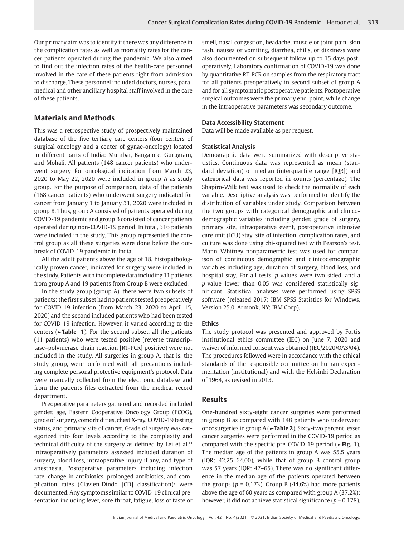Our primary aim was to identify if there was any difference in the complication rates as well as mortality rates for the cancer patients operated during the pandemic. We also aimed to find out the infection rates of the health-care personnel involved in the care of these patients right from admission to discharge. These personnel included doctors, nurses, paramedical and other ancillary hospital staff involved in the care of these patients.

# **Materials and Methods**

This was a retrospective study of prospectively maintained database of the five tertiary care centers (four centers of surgical oncology and a center of gynae-oncology) located in different parts of India: Mumbai, Bangalore, Gurugram, and Mohali. All patients (148 cancer patients) who underwent surgery for oncological indication from March 23, 2020 to May 22, 2020 were included in group A as study group. For the purpose of comparison, data of the patients (168 cancer patients) who underwent surgery indicated for cancer from January 1 to January 31, 2020 were included in group B. Thus, group A consisted of patients operated during COVID-19 pandemic and group B consisted of cancer patients operated during non-COVID-19 period. In total, 316 patients were included in the study. This group represented the control group as all these surgeries were done before the outbreak of COVID-19 pandemic in India.

All the adult patients above the age of 18, histopathologically proven cancer, indicated for surgery were included in the study. Patients with incomplete data including 11 patients from group A and 19 patients from Group B were excluded.

In the study group (group A), there were two subsets of patients; the first subset had no patients tested preoperatively for COVID-19 infection (from March 23, 2020 to April 15, 2020) and the second included patients who had been tested for COVID-19 infection. However, it varied according to the centers (**►Table 1**). For the second subset, all the patients (11 patients) who were tested positive (reverse transcriptase–polymerase chain reaction [RT-PCR] positive) were not included in the study. All surgeries in group A, that is, the study group, were performed with all precautions including complete personal protective equipment's protocol. Data were manually collected from the electronic database and from the patients files extracted from the medical record department.

Preoperative parameters gathered and recorded included gender, age, Eastern Cooperative Oncology Group (ECOG), grade of surgery, comorbidities, chest X-ray, COVID-19 testing status, and primary site of cancer. Grade of surgery was categorized into four levels according to the complexity and technical difficulty of the surgery as defined by Lei et al.<sup>11</sup> Intraoperatively parameters assessed included duration of surgery, blood loss, intraoperative injury if any, and type of anesthesia. Postoperative parameters including infection rate, change in antibiotics, prolonged antibiotics, and complication rates (Clavien-Dindo [CD] classification)7 were documented. Any symptoms similar to COVID-19 clinical presentation including fever, sore throat, fatigue, loss of taste or

smell, nasal congestion, headache, muscle or joint pain, skin rash, nausea or vomiting, diarrhea, chills, or dizziness were also documented on subsequent follow-up to 15 days postoperatively. Laboratory confirmation of COVID-19 was done by quantitative RT-PCR on samples from the respiratory tract for all patients preoperatively in second subset of group A and for all symptomatic postoperative patients. Postoperative surgical outcomes were the primary end-point, while change in the intraoperative parameters was secondary outcome.

# **Data Accessibility Statement**

Data will be made available as per request.

#### **Statistical Analysis**

Demographic data were summarized with descriptive statistics. Continuous data was represented as mean (standard deviation) or median (interquartile range [IQR]) and categorical data was reported in counts (percentage). The Shapiro-Wilk test was used to check the normality of each variable. Descriptive analysis was performed to identify the distribution of variables under study. Comparison between the two groups with categorical demographic and clinicodemographic variables including gender, grade of surgery, primary site, intraoperative event, postoperative intensive care unit (ICU) stay, site of infection, complication rates, and culture was done using chi-squared test with Pearson's test. Mann–Whitney nonparametric test was used for comparison of continuous demographic and clinicodemographic variables including age, duration of surgery, blood loss, and hospital stay. For all tests, *p*-values were two-sided, and a *p*-value lower than 0.05 was considered statistically significant. Statistical analyses were performed using SPSS software (released 2017; IBM SPSS Statistics for Windows, Version 25.0. Armonk, NY: IBM Corp).

#### **Ethics**

The study protocol was presented and approved by Fortis institutional ethics committee (IEC) on June 7, 2020 and waiver of informed consent was obtained (IEC/2020/OAS/04). The procedures followed were in accordance with the ethical standards of the responsible committee on human experimentation (institutional) and with the Helsinki Declaration of 1964, as revised in 2013.

## **Results**

One-hundred sixty-eight cancer surgeries were performed in group B as compared with 148 patients who underwent oncosurgeries in group A (**►Table 2**). Sixty-two percent lesser cancer surgeries were performed in the COVID-19 period as compared with the specific pre-COVID-19 period (**►Fig. 1**). The median age of the patients in group A was 55.5 years (IQR: 42.25–64.00), while that of group B control group was 57 years (IQR: 47–65). There was no significant difference in the median age of the patients operated between the groups ( $p = 0.173$ ). Group B (44.6%) had more patients above the age of 60 years as compared with group A (37.2%); however, it did not achieve statistical significance (*p* = 0.178).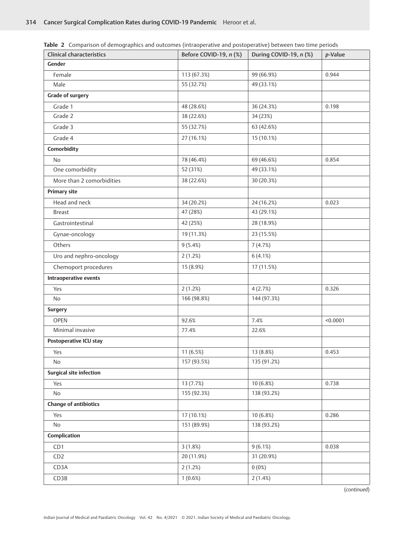| <b>Clinical characteristics</b> | Before COVID-19, n (%) | During COVID-19, n (%) | p-Value  |
|---------------------------------|------------------------|------------------------|----------|
| Gender                          |                        |                        |          |
| Female                          | 113 (67.3%)            | 99 (66.9%)             | 0.944    |
| Male                            | 55 (32.7%)             | 49 (33.1%)             |          |
| <b>Grade of surgery</b>         |                        |                        |          |
| Grade 1                         | 48 (28.6%)             | 36 (24.3%)             | 0.198    |
| Grade 2                         | 38 (22.6%)             | 34 (23%)               |          |
| Grade 3                         | 55 (32.7%)             | 63 (42.6%)             |          |
| Grade 4                         | 27 (16.1%)             | 15 (10.1%)             |          |
| Comorbidity                     |                        |                        |          |
| <b>No</b>                       | 78 (46.4%)             | 69 (46.6%)             | 0.854    |
| One comorbidity                 | 52 (31%)               | 49 (33.1%)             |          |
| More than 2 comorbidities       | 38 (22.6%)             | 30 (20.3%)             |          |
| <b>Primary site</b>             |                        |                        |          |
| Head and neck                   | 34 (20.2%)             | 24 (16.2%)             | 0.023    |
| <b>Breast</b>                   | 47 (28%)               | 43 (29.1%)             |          |
| Gastrointestinal                | 42 (25%)               | 28 (18.9%)             |          |
| Gynae-oncology                  | 19 (11.3%)             | 23 (15.5%)             |          |
| Others                          | 9(5.4%)                | 7(4.7%)                |          |
| Uro and nephro-oncology         | 2(1.2%)                | 6(4.1%)                |          |
| Chemoport procedures            | 15 (8.9%)              | 17 (11.5%)             |          |
| Intraoperative events           |                        |                        |          |
| Yes                             | 2(1.2%)                | 4(2.7%)                | 0.326    |
| No                              | 166 (98.8%)            | 144 (97.3%)            |          |
| <b>Surgery</b>                  |                        |                        |          |
| <b>OPEN</b>                     | 92.6%                  | 7.4%                   | < 0.0001 |
| Minimal invasive                | 77.4%                  | 22.6%                  |          |
| Postoperative ICU stay          |                        |                        |          |
| Yes                             | 11 (6.5%)              | 13 (8.8%)              | 0.453    |
| No                              | 157 (93.5%)            | 135 (91.2%)            |          |
| <b>Surgical site infection</b>  |                        |                        |          |
| Yes                             | 13 (7.7%)              | 10 (6.8%)              | 0.738    |
| No                              | 155 (92.3%)            | 138 (93.2%)            |          |
| <b>Change of antibiotics</b>    |                        |                        |          |
| Yes                             | 17 (10.1%)             | 10 (6.8%)              | 0.286    |
| No                              | 151 (89.9%)            | 138 (93.2%)            |          |
| Complication                    |                        |                        |          |
| CD1                             | 3(1.8%)                | 9(6.1%)                | 0.038    |
| CD2                             | 20 (11.9%)             | 31 (20.9%)             |          |
| CD3A                            | 2(1.2%)                | 0(0%)                  |          |
| CD3B                            | 1(0.6%)                | 2(1.4%)                |          |

**Table 2** Comparison of demographics and outcomes (intraoperative and postoperative) between two time periods

(*continued*)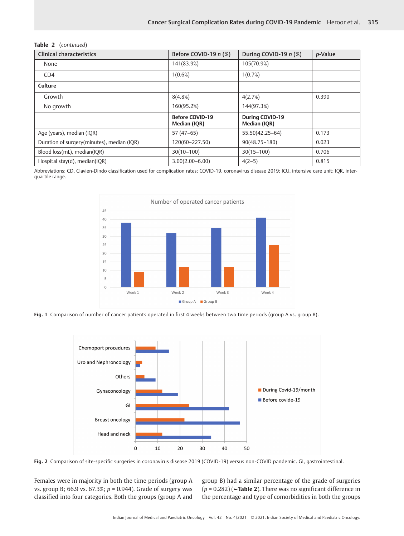|  | <b>Table 2</b> (continued) |
|--|----------------------------|
|--|----------------------------|

| <b>Clinical characteristics</b>            | Before COVID-19 n (%)                  | During COVID-19 n (%)                  | p-Value |
|--------------------------------------------|----------------------------------------|----------------------------------------|---------|
| None                                       | 141(83.9%)                             | 105(70.9%)                             |         |
| CD4                                        | 1(0.6%)                                | 1(0.7%)                                |         |
| Culture                                    |                                        |                                        |         |
| Growth                                     | 8(4.8%)                                | 4(2.7%)                                | 0.390   |
| No growth                                  | 160(95.2%)                             | 144(97.3%)                             |         |
|                                            | <b>Before COVID-19</b><br>Median (IQR) | <b>During COVID-19</b><br>Median (IQR) |         |
| Age (years), median (IQR)                  | $57(47-65)$                            | 55.50(42.25-64)                        | 0.173   |
| Duration of surgery(minutes), median (IQR) | 120(60-227.50)                         | $90(48.75 - 180)$                      | 0.023   |
| Blood loss(mL), median(IQR)                | $30(10-100)$                           | $30(15 - 100)$                         | 0.706   |
| Hospital stay(d), median(IQR)              | $3.00(2.00 - 6.00)$                    | $4(2-5)$                               | 0.815   |

Abbreviations: CD, Clavien-Dindo classification used for complication rates; COVID-19, coronavirus disease 2019; ICU, intensive care unit; IQR, interquartile range.



**Fig. 1** Comparison of number of cancer patients operated in first 4 weeks between two time periods (group A vs. group B).



**Fig. 2** Comparison of site-specific surgeries in coronavirus disease 2019 (COVID-19) versus non-COVID pandemic. GI, gastrointestinal.

Females were in majority in both the time periods (group A vs. group B; 66.9 vs. 67.3%; *p* = 0.944). Grade of surgery was classified into four categories. Both the groups (group A and

group B) had a similar percentage of the grade of surgeries (*p* = 0.282) (**►Table 2**). There was no significant difference in the percentage and type of comorbidities in both the groups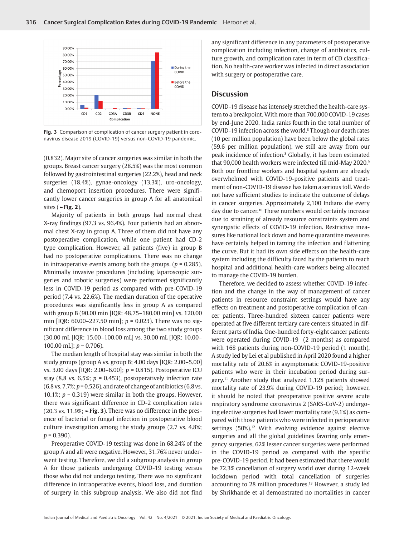

**Fig. 3** Comparison of complication of cancer surgery patient in coronavirus disease 2019 (COVID-19) versus non-COVID-19 pandemic.

(0.832). Major site of cancer surgeries was similar in both the groups. Breast cancer surgery (28.5%) was the most common followed by gastrointestinal surgeries (22.2%), head and neck surgeries (18.4%), gynae-oncology (13.3%), uro-oncology, and chemoport insertion procedures. There were significantly lower cancer surgeries in group A for all anatomical sites (**►Fig. 2**).

Majority of patients in both groups had normal chest X-ray findings (97.3 vs. 96.4%). Four patients had an abnormal chest X-ray in group A. Three of them did not have any postoperative complication, while one patient had CD-2 type complication. However, all patients (five) in group B had no postoperative complications. There was no change in intraoperative events among both the groups. (*p* = 0.285). Minimally invasive procedures (including laparoscopic surgeries and robotic surgeries) were performed significantly less in COVID-19 period as compared with pre-COVID-19 period (7.4 vs. 22.6%). The median duration of the operative procedures was significantly less in group A as compared with group B (90.00 min [IQR: 48.75–180.00 min] vs. 120.00 min [IQR: 60.00–227.50 min]; *p* = 0.023). There was no significant difference in blood loss among the two study groups (30.00 mL [IQR: 15.00–100.00 mL] vs. 30.00 mL [IQR: 10.00– 100.00 mL]; *p* = 0.706).

The median length of hospital stay was similar in both the study groups (group A vs. group B; 4.00 days [IQR: 2.00–5.00] vs. 3.00 days [IQR: 2.00–6.00]; *p* = 0.815). Postoperative ICU stay (8.8 vs.  $6.5\%$ ;  $p = 0.453$ ), postoperatively infection rate (6.8 vs. 7.7%; *p* = 0.526), and rate of change of antibiotics (6.8 vs. 10.1%; *p* = 0.319) were similar in both the groups. However, there was significant difference in CD-2 complication rates (20.3 vs. 11.9%; **►Fig. 3**). There was no difference in the presence of bacterial or fungal infection in postoperative blood culture investigation among the study groups (2.7 vs. 4.8%; *p* = 0.390).

Preoperative COVID-19 testing was done in 68.24% of the group A and all were negative. However, 31.76% never underwent testing. Therefore, we did a subgroup analysis in group A for those patients undergoing COVID-19 testing versus those who did not undergo testing. There was no significant difference in intraoperative events, blood loss, and duration of surgery in this subgroup analysis. We also did not find any significant difference in any parameters of postoperative complication including infection, change of antibiotics, culture growth, and complication rates in term of CD classification. No health-care worker was infected in direct association with surgery or postoperative care.

# **Discussion**

COVID-19 disease has intensely stretched the health-care system to a breakpoint. With more than 700,000 COVID-19 cases by end-June 2020, India ranks fourth in the total number of COVID-19 infection across the world.<sup>8</sup> Though our death rates (10 per million population) have been below the global rates (59.6 per million population), we still are away from our peak incidence of infection.8 Globally, it has been estimated that 90,000 health workers were infected till mid-May 2020.9 Both our frontline workers and hospital system are already overwhelmed with COVID-19-positive patients and treatment of non-COVID-19 disease has taken a serious toll. We do not have sufficient studies to indicate the outcome of delays in cancer surgeries. Approximately 2,100 Indians die every day due to cancer.10 These numbers would certainly increase due to straining of already resource constraints system and synergistic effects of COVID-19 infection. Restrictive measures like national lock down and home quarantine measures have certainly helped in taming the infection and flattening the curve. But it had its own side effects on the health-care system including the difficulty faced by the patients to reach hospital and additional health-care workers being allocated to manage the COVID-19 burden.

Therefore, we decided to assess whether COVID-19 infection and the change in the way of management of cancer patients in resource constraint settings would have any effects on treatment and postoperative complication of cancer patients. Three-hundred sixteen cancer patients were operated at five different tertiary care centers situated in different parts of India. One-hundred forty-eight cancer patients were operated during COVID-19 (2 months) as compared with 168 patients during non-COVID-19 period (1 month). A study led by Lei et al published in April 2020 found a higher mortality rate of 20.6% in asymptomatic COVID-19-positive patients who were in their incubation period during surgery.11 Another study that analyzed 1,128 patients showed mortality rate of 23.9% during COVID-19 period; however, it should be noted that preoperative positive severe acute respiratory syndrome coronavirus 2 (SARS-CoV-2) undergoing elective surgeries had lower mortality rate (9.1%) as compared with those patients who were infected in perioperative settings (50%).<sup>12</sup> With evolving evidence against elective surgeries and all the global guidelines favoring only emergency surgeries, 62% lesser cancer surgeries were performed in the COVID-19 period as compared with the specific pre-COVID-19 period. It had been estimated that there would be 72.3% cancellation of surgery world over during 12-week lockdown period with total cancellation of surgeries accounting to 28 million procedures.<sup>13</sup> However, a study led by Shrikhande et al demonstrated no mortalities in cancer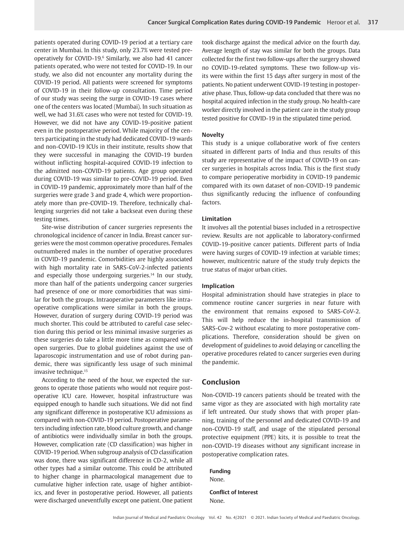patients operated during COVID-19 period at a tertiary care center in Mumbai. In this study, only 23.7% were tested preoperatively for COVID-19.6 Similarly, we also had 41 cancer patients operated, who were not tested for COVID-19. In our study, we also did not encounter any mortality during the COVID-19 period. All patients were screened for symptoms of COVID-19 in their follow-up consultation. Time period of our study was seeing the surge in COVID-19 cases where one of the centers was located (Mumbai). In such situation as well, we had 31.6% cases who were not tested for COVID-19. However, we did not have any COVID-19-positive patient even in the postoperative period. While majority of the centers participating in the study had dedicated COVID-19 wards and non-COVID-19 ICUs in their institute, results show that they were successful in managing the COVID-19 burden without inflicting hospital-acquired COVID-19 infection to the admitted non-COVID-19 patients. Age group operated during COVID-19 was similar to pre-COVID-19 period. Even in COVID-19 pandemic, approximately more than half of the surgeries were grade 3 and grade 4, which were proportionately more than pre-COVID-19. Therefore, technically challenging surgeries did not take a backseat even during these testing times.

Site-wise distribution of cancer surgeries represents the chronological incidence of cancer in India. Breast cancer surgeries were the most common operative procedures. Females outnumbered males in the number of operative procedures in COVID-19 pandemic. Comorbidities are highly associated with high mortality rate in SARS-CoV-2-infected patients and especially those undergoing surgeries.<sup>14</sup> In our study, more than half of the patients undergoing cancer surgeries had presence of one or more comorbidities that was similar for both the groups. Intraoperative parameters like intraoperative complications were similar in both the groups. However, duration of surgery during COVID-19 period was much shorter. This could be attributed to careful case selection during this period or less minimal invasive surgeries as these surgeries do take a little more time as compared with open surgeries. Due to global guidelines against the use of laparoscopic instrumentation and use of robot during pandemic, there was significantly less usage of such minimal invasive technique.15

According to the need of the hour, we expected the surgeons to operate those patients who would not require postoperative ICU care. However, hospital infrastructure was equipped enough to handle such situations. We did not find any significant difference in postoperative ICU admissions as compared with non-COVID-19 period. Postoperative parameters including infection rate, blood culture growth, and change of antibiotics were individually similar in both the groups. However, complication rate (CD classification) was higher in COVID-19 period. When subgroup analysis of CD classification was done, there was significant difference in CD-2, while all other types had a similar outcome. This could be attributed to higher change in pharmacological management due to cumulative higher infection rate, usage of higher antibiotics, and fever in postoperative period. However, all patients were discharged uneventfully except one patient. One patient took discharge against the medical advice on the fourth day. Average length of stay was similar for both the groups. Data collected for the first two follow-ups after the surgery showed no COVID-19-related symptoms. These two follow-up visits were within the first 15 days after surgery in most of the patients. No patient underwent COVID-19 testing in postoperative phase. Thus, follow-up data concluded that there was no hospital acquired infection in the study group. No health-care worker directly involved in the patient care in the study group tested positive for COVID-19 in the stipulated time period.

## **Novelty**

This study is a unique collaborative work of five centers situated in different parts of India and thus results of this study are representative of the impact of COVID-19 on cancer surgeries in hospitals across India. This is the first study to compare perioperative morbidity in COVID-19 pandemic compared with its own dataset of non-COVID-19 pandemic thus significantly reducing the influence of confounding factors.

## **Limitation**

It involves all the potential biases included in a retrospective review. Results are not applicable to laboratory-confirmed COVID-19-positive cancer patients. Different parts of India were having surges of COVID-19 infection at variable times; however, multicentric nature of the study truly depicts the true status of major urban cities.

## **Implication**

Hospital administration should have strategies in place to commence routine cancer surgeries in near future with the environment that remains exposed to SARS-CoV-2. This will help reduce the in-hospital transmission of SARS-Cov-2 without escalating to more postoperative complications. Therefore, consideration should be given on development of guidelines to avoid delaying or cancelling the operative procedures related to cancer surgeries even during the pandemic.

## **Conclusion**

Non-COVID-19 cancers patients should be treated with the same vigor as they are associated with high mortality rate if left untreated. Our study shows that with proper planning, training of the personnel and dedicated COVID-19 and non-COVID-19 staff, and usage of the stipulated personal protective equipment (PPE) kits, it is possible to treat the non-COVID-19 diseases without any significant increase in postoperative complication rates.

**Funding** None.

**Conflict of Interest** None.